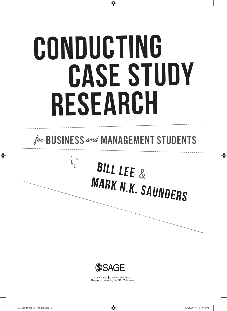# CONDUCTING CASE STUDY Research

### for **BUSINESS** and **MANAGEMENT STUDENTS**

## BILL LEE & MARK N.K. SAUNDERS



Los Angeles | London | New Delhi Singapore | Washington DC | Melbourne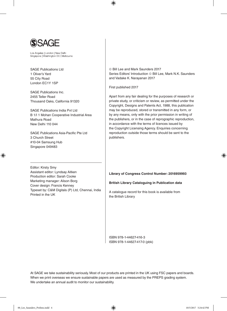

Los Angeles | London | New Delhi Singapore | Washington DC | Melbourne

SAGE Publications Ltd 1 Oliver's Yard 55 City Road London EC1Y 1SP

SAGE Publications Inc. 2455 Teller Road Thousand Oaks, California 91320

SAGE Publications India Pvt Ltd B 1/I 1 Mohan Cooperative Industrial Area Mathura Road New Delhi 110 044

SAGE Publications Asia-Pacific Pte Ltd 3 Church Street #10-04 Samsung Hub Singapore 049483

Editor: Kirsty Smy Assistant editor: Lyndsay Aitken Production editor: Sarah Cooke Marketing manager: Alison Borg Cover design: Francis Kenney Typeset by: C&M Digitals (P) Ltd, Chennai, India Printed in the UK

 Bill Lee and Mark Saunders 2017 Series Editors' Introduction © Bill Lee, Mark N.K. Saunders and Vadake K. Narayanan 2017

First published 2017

Apart from any fair dealing for the purposes of research or private study, or criticism or review, as permitted under the Copyright, Designs and Patents Act, 1988, this publication may be reproduced, stored or transmitted in any form, or by any means, only with the prior permission in writing of the publishers, or in the case of reprographic reproduction, in accordance with the terms of licences issued by the Copyright Licensing Agency. Enquiries concerning reproduction outside those terms should be sent to the publishers.

#### **Library of Congress Control Number: 2016959993**

**British Library Cataloguing in Publication data**

A catalogue record for this book is available from the British Library

ISBN 978-1-44627-416-3 ISBN 978-1-44627-417-0 (pbk)

At SAGE we take sustainability seriously. Most of our products are printed in the UK using FSC papers and boards. When we print overseas we ensure sustainable papers are used as measured by the PREPS grading system. We undertake an annual audit to monitor our sustainability.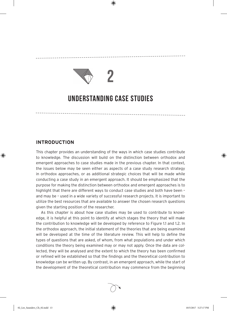

## **2**

### **Understanding Case Studies**

#### **INTRODUCTION**

This chapter provides an understanding of the ways in which case studies contribute to knowledge. The discussion will build on the distinction between orthodox and emergent approaches to case studies made in the previous chapter. In that context, the issues below may be seen either as aspects of a case study research strategy in orthodox approaches, or as additional strategic choices that will be made while conducting a case study in an emergent approach. It should be emphasized that the purpose for making the distinction between orthodox and emergent approaches is to highlight that there are different ways to conduct case studies and both have been – and may be – used in a wide variety of successful research projects. It is important to utilize the best resources that are available to answer the chosen research questions given the starting position of the researcher.

As this chapter is about how case studies may be used to contribute to knowledge, it is helpful at this point to identify at which stages the theory that will make the contribution to knowledge will be developed by reference to Figure 1.1 and 1.2. In the orthodox approach, the initial statement of the theories that are being examined will be developed at the time of the literature review. This will help to define the types of questions that are asked, of whom, from what populations and under which conditions the theory being examined may or may not apply. Once the data are collected, they will be analysed and the extent to which the theory has been confirmed or refined will be established so that the findings and the theoretical contribution to knowledge can be written up. By contrast, in an emergent approach, while the start of the development of the theoretical contribution may commence from the beginning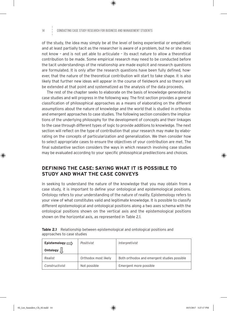#### 14 Conducting Case Study Research for Business and Management Students

of the study, the idea may simply be at the level of being experiential or empathetic and at least partially tacit as the researcher is aware of a problem, but he or she does not know – and is not yet able to articulate – its exact nature to allow a theoretical contribution to be made. Some empirical research may need to be conducted before the tacit understandings of the relationship are made explicit and research questions are formulated. It is only after the research questions have been fully defined, however, that the nature of the theoretical contribution will start to take shape. It is also likely that further new ideas will appear in the course of fieldwork and so theory will be extended at that point and systematized as the analysis of the data proceeds.

The rest of the chapter seeks to elaborate on the basis of knowledge generated by case studies and will progress in the following way. The first section provides a general classification of philosophical approaches as a means of elaborating on the different assumptions about the nature of knowledge and the world that is studied in orthodox and emergent approaches to case studies. The following section considers the implications of the underlying philosophy for the development of concepts and their linkages to the case through different types of logic to provide additions to knowledge. The next section will reflect on the type of contribution that your research may make by elaborating on the concepts of particularization and generalization. We then consider how to select appropriate cases to ensure the objectives of your contribution are met. The final substantive section considers the ways in which research involving case studies may be evaluated according to your specific philosophical predilections and choices.

#### **DEFINING THE CASE: SAYING WHAT IT IS POSSIBLE TO STUDY AND WHAT THE CASE CONVEYS**

In seeking to understand the nature of the knowledge that you may obtain from a case study, it is important to define your ontological and epistemological positions. Ontology refers to your understanding of the nature of reality. Epistemology refers to your view of what constitutes valid and legitimate knowledge. It is possible to classify different epistemological and ontological positions along a two axes schema with the ontological positions shown on the vertical axis and the epistemological positions shown on the horizontal axis, as represented in Table 2.1.

| Epistemology $\Longrightarrow$ | Positivist           | Interpretivist                              |
|--------------------------------|----------------------|---------------------------------------------|
| Ontology $\lfloor \lfloor$     |                      |                                             |
| Realist                        | Orthodox most likely | Both orthodox and emergent studies possible |
| Constructivist                 | Not possible         | Emergent more possible                      |

| <b>Table 2.1</b> Relationship between epistemological and ontological positions and |
|-------------------------------------------------------------------------------------|
| approaches to case studies                                                          |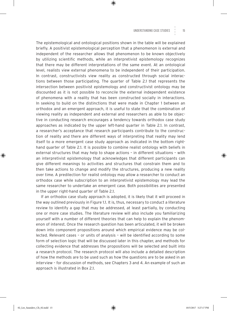The epistemological and ontological positions shown in the table will be explained briefly. A positivist epistemological perception that a phenomenon is external and independent of the researcher allows that phenomenon to be known objectively by utilizing scientific methods, while an interpretivist epistemology recognizes that there may be different interpretations of the same event. At an ontological level, realists view external phenomena to be independent of their participation. In contrast, constructivists view reality as constructed through social interactions between those participating. The quarter of Table 2.1 that represents the intersection between positivist epistemology and constructivist ontology may be discounted as it is not possible to reconcile the external independent existence of phenomena with a reality that has been constructed socially in interactions. In seeking to build on the distinctions that were made in Chapter 1 between an orthodox and an emergent approach, it is useful to state that the combination of viewing reality as independent and external and researchers as able to be objective in conducting research encourages a tendency towards orthodox case study approaches as indicated by the upper left-hand quarter in Table 2.1. In contrast, a researcher's acceptance that research participants contribute to the construction of reality and there are different ways of interpreting that reality may lend itself to a more emergent case study approach as indicated in the bottom righthand quarter of Table 2.1. It is possible to combine realist ontology with beliefs in external structures that may help to shape actions – in different situations – with an interpretivist epistemology that acknowledges that different participants can give different meanings to activities and structures that constrain them and to then take actions to change and modify the structures, producing a new reality over time. A predilection for realist ontology may allow a researcher to conduct an orthodox case while subscription to an interpretivist epistemology may lead the same researcher to undertake an emergent case. Both possibilities are presented in the upper right-hand quarter of Table 2.1.

If an orthodox case study approach is adopted, it is likely that it will proceed in the way outlined previously in Figure 1.1. It is, thus, necessary to conduct a literature review to identify a gap that may be addressed, at least partially, by conducting one or more case studies. The literature review will also include you familiarizing yourself with a number of different theories that can help to explain the phenomenon of interest. Once the research question has been articulated, it will be broken down into component propositions around which empirical evidence may be collected. Relevant cases – or units of analysis – will be identified according to some form of selection logic that will be discussed later in this chapter, and methods for collecting evidence that addresses the propositions will be selected and built into a research protocol. The research protocol will also include a detailed description of how the methods are to be used such as how the questions are to be asked in an interview – for discussion of methods, see Chapters 3 and 4. An example of such an approach is illustrated in Box 2.1.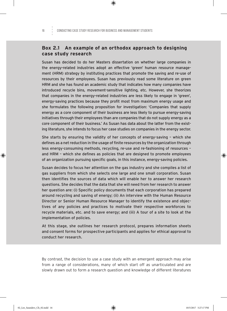#### **Box 2.1 An example of an orthodox approach to designing case study research**

Susan has decided to do her Masters dissertation on whether large companies in the energy-related industries adopt an effective 'green' human resource management (HRM) strategy by instituting practices that promote the saving and re-use of resources by their employees. Susan has previously read some literature on green HRM and she has found an academic study that indicates how many companies have introduced recycle bins, movement-sensitive lighting, etc. However, she theorizes that companies in the energy-related industries are less likely to engage in 'green', energy-saving practices because they profit most from maximum energy usage and she formulates the following proposition for investigation: 'Companies that supply energy as a core component of their business are less likely to pursue energy-saving initiatives through their employees than are companies that do not supply energy as a core component of their business.' As Susan has data about the latter from the existing literature, she intends to focus her case studies on companies in the energy sector.

She starts by ensuring the validity of her concepts of energy-saving – which she defines as a net reduction in the usage of finite resources by the organization through less energy-consuming methods, recycling, re-use and re-fashioning of resources – and HRM – which she defines as policies that are designed to promote employees of an organization pursuing specific goals, in this instance, energy-saving policies.

Susan decides to focus her attention on the gas industry and she compiles a list of gas suppliers from which she selects one large and one small corporation. Susan then identifies the sources of data which will enable her to answer her research questions. She decides that the data that she will need from her research to answer her question are: (i) Specific policy documents that each corporation has prepared around recycling and saving of energy; (ii) An interview with the Human Resource Director or Senior Human Resource Manager to identify the existence and objectives of any policies and practices to motivate their respective workforces to recycle materials, etc. and to save energy; and (iii) A tour of a site to look at the implementation of policies.

At this stage, she outlines her research protocol, prepares information sheets and consent forms for prospective participants and applies for ethical approval to conduct her research.

By contrast, the decision to use a case study with an emergent approach may arise from a range of considerations, many of which start off as unarticulated and are slowly drawn out to form a research question and knowledge of different literatures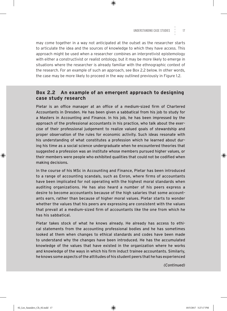may come together in a way not anticipated at the outset as the researcher starts to articulate the idea and the sources of knowledge to which they have access. This approach might be used when a researcher combines an interpretivist epistemology with either a constructivist or realist ontology, but it may be more likely to emerge in situations where the researcher is already familiar with the ethnographic context of the research. For an example of such an approach, see Box 2.2 below. In other words, the case may be more likely to proceed in the way outlined previously in Figure 1.2.

#### **Box 2.2 An example of an emergent approach to designing case study research**

Pietar is an office manager at an office of a medium-sized firm of Chartered Accountants in Dresden. He has been given a sabbatical from his job to study for a Masters in Accounting and Finance. In his job, he has been impressed by the approach of the professional accountants in his practice, who talk about the exercise of their professional judgement to realize valued goals of stewardship and proper observation of the rules for economic activity. Such ideas resonate with his understanding of what constitutes a profession which he learned about during his time as a social science undergraduate when he encountered theories that suggested a profession was an institute whose members pursued higher values, or their members were people who exhibited qualities that could not be codified when making decisions.

In the course of his MSc in Accounting and Finance, Pietar has been introduced to a range of accounting scandals, such as Enron, where firms of accountants have been implicated for not operating with the highest moral standards when auditing organizations. He has also heard a number of his peers express a desire to become accountants because of the high salaries that some accountants earn, rather than because of higher moral values. Pietar starts to wonder whether the values that his peers are expressing are consistent with the values that prevail at a medium-sized firm of accountants like the one from which he has his sabbatical.

Pietar takes stock of what he knows already. He already has access to ethical statements from the accounting professional bodies and he has sometimes looked at them when changes to ethical standards and codes have been made to understand why the changes have been introduced. He has the accumulated knowledge of the values that have existed in the organization where he works and knowledge of the ways in which his firm induct trainee accountants. Similarly, he knows some aspects of the attitudes of his student peers that he has experienced

*(Continued)*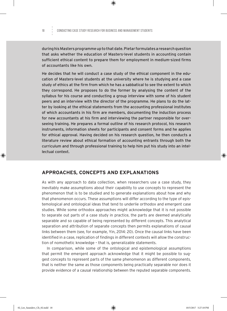during his Masters programme up to that date. Pietar formulates a research question that asks whether the education of Masters-level students in accounting contain sufficient ethical content to prepare them for employment in medium-sized firms of accountants like his own.

He decides that he will conduct a case study of the ethical component in the education of Masters-level students at the university where he is studying and a case study of ethics at the firm from which he has a sabbatical to see the extent to which they correspond. He proposes to do the former by analysing the content of the syllabus for his course and conducting a group interview with some of his student peers and an interview with the director of the programme. He plans to do the latter by looking at the ethical statements from the accounting professional institutes of which accountants in his firm are members, documenting the induction process for new accountants at his firm and interviewing the partner responsible for overseeing training. He prepares a formal outline of his research protocol, his research instruments, information sheets for participants and consent forms and he applies for ethical approval. Having decided on his research question, he then conducts a literature review about ethical formation of accounting entrants through both the curriculum and through professional training to help him put his study into an intellectual context.

#### **APPROACHES, CONCEPTS AND EXPLANATIONS**

As with any approach to data collection, when researchers use a case study, they inevitably make assumptions about their capability to use concepts to represent the phenomenon that is to be studied and to generate explanations about how and why that phenomenon occurs. These assumptions will differ according to the type of epistemological and ontological ideas that tend to underlie orthodox and emergent case studies. While some orthodox approaches might acknowledge that it is not possible to separate out parts of a case study in practice, the parts are deemed analytically separable and so capable of being represented by different concepts. This analytical separation and attribution of separate concepts then permits explanations of causal links between them (see, for example, Yin, 2014: 20). Once the causal links have been identified in a case, replication of findings in different contexts will allow the construction of nomothetic knowledge – that is, generalizable statements.

In comparison, while some of the ontological and epistemological assumptions that permit the emergent approach acknowledge that it might be possible to suggest concepts to represent parts of the same phenomenon as different components, that is neither the same as those components being practically separable nor does it provide evidence of a causal relationship between the reputed separable components.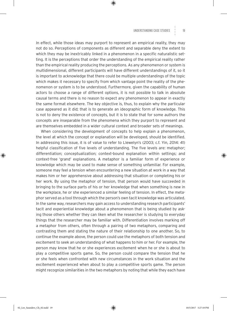In effect, while those ideas may purport to represent an empirical reality, they may not do so. Perceptions of components as different and separable deny the extent to which they may be inextricably linked in a phenomenon in a specific naturalistic setting. It is the perceptions that order the understanding of the empirical reality rather than the empirical reality producing the perceptions. As any phenomenon or system is multidimensional, different participants will have different understandings of it, so it is important to acknowledge that there could be multiple understandings of the topic which makes it necessary to specify from which vantage point the reality of the phenomenon or system is to be understood. Furthermore, given the capability of human actors to choose a range of different options, it is not possible to talk in absolute causal terms and there is no reason to expect any phenomenon to appear in exactly the same format elsewhere. The key objective is, thus, to explain why the particular case appeared as it did; that is to generate an ideographic form of knowledge. This is not to deny the existence of concepts, but it is to state that for some authors the concepts are inseparable from the phenomena which they purport to represent and are themselves embedded in a wider cultural context and broader sets of meanings.

When considering the development of concepts to help explain a phenomenon, the level at which the concept or explanation will be developed, should be identified. In addressing this issue, it is of value to refer to Llewelyn's (2003; c.f. Yin, 2014: 41) helpful classification of five levels of understanding. The five levels are: metaphor; differentiation; conceptualization; context-bound explanation within settings; and context-free 'grand' explanations. A metaphor is a familiar form of experience or knowledge which may be used to make sense of something unfamiliar. For example, someone may feel a tension when encountering a new situation at work in a way that makes him or her apprehensive about addressing that situation or completing his or her work. By using the metaphor of tension, that person would have succeeded in bringing to the surface parts of his or her knowledge that when something is new in the workplace, he or she experienced a similar feeling of tension. In effect, the metaphor served as a tool through which the person's own tacit knowledge was articulated. In the same way, researchers may gain access to understanding research participants' tacit and experiential knowledge about a phenomenon that is being studied by asking those others whether they can liken what the researcher is studying to everyday things that the researcher may be familiar with. Differentiation involves marking off a metaphor from others, often through a pairing of two metaphors, comparing and contrasting them and stating the nature of their relationship to one another. So, to continue the example above, the person could use the metaphors of both tension and excitement to seek an understanding of what happens to him or her. For example, the person may know that he or she experiences excitement when he or she is about to play a competitive sports game. So, the person could compare the tension that he or she feels when confronted with new circumstances in the work situation and the excitement experienced when about to play a competitive sports game. The person might recognize similarities in the two metaphors by noting that while they each have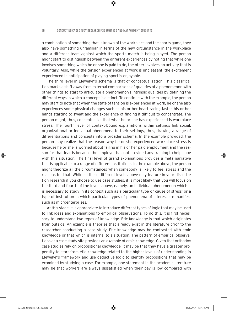#### 20 CONDUCTING CASE STUDY RESEARCH FOR BUSINESS AND MANAGEMENT STUDENTS

a combination of something that is known of the workplace and the sports game, they also have something unfamiliar in terms of the new circumstance in the workplace and a different team against which the sports match is being played. The person might start to distinguish between the different experiences by noting that while one involves something which he or she is paid to do, the other involves an activity that is voluntary. Also, while the tension experienced at work is unpleasant, the excitement experienced in anticipation of playing sport is enjoyable.

The third level in Llewelyn's schema is that of conceptualization. This classification marks a shift away from external comparisons of qualities of a phenomenon with other things to start to articulate a phenomenon's intrinsic qualities by defining the different ways in which a concept is distinct. To continue with the example, the person may start to note that when the state of tension is experienced at work, he or she also experiences some physical changes such as his or her heart racing faster, his or her hands starting to sweat and the experience of finding it difficult to concentrate. The person might, thus, conceptualize that what he or she has experienced is workplace stress. The fourth level of context-bound explanations within settings link social, organizational or individual phenomena to their settings, thus, drawing a range of differentiations and concepts into a broader schema. In the example provided, the person may realize that the reason why he or she experienced workplace stress is because he or she is worried about failing in his or her paid employment and the reason for that fear is because the employer has not provided any training to help cope with this situation. The final level of grand explanations provides a meta-narrative that is applicable to a range of different institutions. In the example above, the person might theorize all the circumstances when somebody is likely to feel stress and the reasons for that. While all these different levels above may feature in your dissertation research if you choose to use case studies, it is most likely that you will focus on the third and fourth of the levels above, namely, an individual phenomenon which it is necessary to study in its context such as a particular type or cause of stress; or a type of institution in which particular types of phenomena of interest are manifest such as microenterprises.

At this stage, it is appropriate to introduce different types of logic that may be used to link ideas and explanations to empirical observations. To do this, it is first necessary to understand two types of knowledge. Etic knowledge is that which originates from outside. An example is theories that already exist in the literature prior to the researcher conducting a case study. Etic knowledge may be contrasted with emic knowledge or that which is internal to a situation. The pattern of empirical observations at a case study site provides an example of emic knowledge. Given that orthodox case studies rely on propositional knowledge, it may be that they have a greater propensity to start from etic knowledge related to the higher levels of understanding in Llewelyn's framework and use deductive logic to identify propositions that may be examined by studying a case. For example, one statement in the academic literature may be that workers are always dissatisfied when their pay is low compared with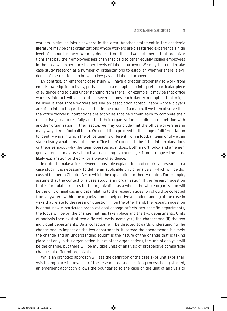workers in similar jobs elsewhere in the area. Another statement in the academic literature may be that organizations whose workers are dissatisfied experience a high level of labour turnover. We may deduce from these two statements that organizations that pay their employees less than that paid to other equally skilled employees in the area will experience higher levels of labour turnover. We may then undertake case study research at a number of organizations to establish whether there is evidence of the relationship between low pay and labour turnover.

By contrast, an emergent case study will have a greater propensity to work from emic knowledge inductively, perhaps using a metaphor to interpret a particular piece of evidence and to build understanding from there. For example, it may be that office workers interact with each other several times each day. A metaphor that might be used is that those workers are like an association football team whose players are often interacting with each other in the course of a match. If we then observe that the office workers' interactions are activities that help them each to complete their respective jobs successfully and that their organization is in direct competition with another organization in their sector, we may conclude that the office workers are in many ways like a football team. We could then proceed to the stage of differentiation to identify ways in which the office team is different from a football team until we can state clearly what constitutes the 'office team' concept to be fitted into explanations or theories about why the team operates as it does. Both an orthodox and an emergent approach may use abductive reasoning by choosing – from a range – the most likely explanation or theory for a piece of evidence.

In order to make a link between a possible explanation and empirical research in a case study, it is necessary to define an applicable unit of analysis – which will be discussed further in Chapter 3 – to which the explanation or theory relates. For example, assume that the context of a case study is an organization. If the research question that is formulated relates to the organization as a whole, the whole organization will be the unit of analysis and data relating to the research question should be collected from anywhere within the organization to help derive an understanding of the case in ways that relate to the research question. If, on the other hand, the research question is about how a particular organizational change affects two specific departments, the focus will be on the change that has taken place and the two departments. Units of analysis then exist at two different levels, namely: (i) the change; and (ii) the two individual departments. Data collection will be directed towards understanding the change and its impact on the two departments. If instead the phenomenon is simply the change and an understanding sought is the nature of the change that is taking place not only in this organization, but at other organizations, the unit of analysis will be the change, but there will be multiple units of analysis of prospective comparable changes at different organizations.

While an orthodox approach will see the definition of the case(s) or unit(s) of analysis taking place in advance of the research data collection process being started, an emergent approach allows the boundaries to the case or the unit of analysis to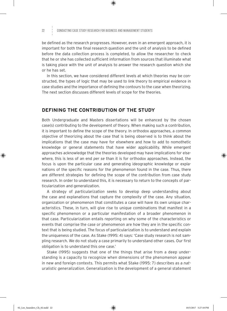#### 22 CONDUCTING CASE STUDY RESEARCH FOR BUSINESS AND MANAGEMENT STUDENTS

be defined as the research progresses. However, even in an emergent approach, it is important for both the final research question and the unit of analysis to be defined before the data collection process is completed, to allow the researcher to check that he or she has collected sufficient information from sources that illuminate what is taking place with the unit of analysis to answer the research question which she or he has set.

In this section, we have considered different levels at which theories may be constructed, the types of logic that may be used to link theory to empirical evidence in case studies and the importance of defining the contours to the case when theorizing. The next section discusses different levels of scope for the theories.

#### **DEFINING THE CONTRIBUTION OF THE STUDY**

Both Undergraduate and Masters dissertations will be enhanced by the chosen case(s) contributing to the development of theory. When making such a contribution, it is important to define the scope of the theory. In orthodox approaches, a common objective of theorizing about the case that is being observed is to think about the implications that the case may have for elsewhere and how to add to nomothetic knowledge or general statements that have wider applicability. While emergent approaches acknowledge that the theories developed may have implications for elsewhere, this is less of an end *per se* than it is for orthodox approaches. Instead, the focus is upon the particular case and generating ideographic knowledge or explanations of the specific reasons for the phenomenon found in the case. Thus, there are different strategies for defining the scope of the contribution from case study research. In order to understand this, it is necessary to return to the concepts of particularization and generalization.

A strategy of *particularization* seeks to develop deep understanding about the case and explanations that capture the complexity of the case. Any situation, organization or phenomenon that constitutes a case will have its own unique characteristics. These, in turn, will give rise to unique combinations that manifest in a specific phenomenon or a particular manifestation of a broader phenomenon in that case. Particularization entails reporting on why some of the characteristics or events that comprise the case or phenomenon are how they are in the specific context that is being studied. The focus of particularization is to understand and explain the uniqueness of the case. As Stake (1995: 4) says: 'Case study research is not sampling research. We do not study a case primarily to understand other cases. Our first obligation is to understand this one case.'

Stake (1995) suggests that one of the things that arise from a deep understanding is a capacity to recognize when dimensions of the phenomenon appear in new and foreign contexts. This permits what Stake (1995: 7) describes as a *naturalistic generalization*. Generalization is the development of a general statement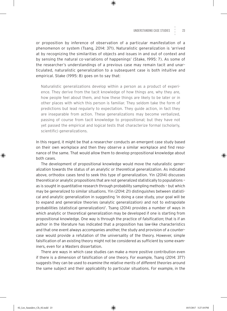or proposition by inference of observation of a particular manifestation of a phenomenon or system (Tsang, 2014: 371). Naturalistic generalization is 'arrived at by recognizing the similarities of objects and issues in and out of context and by sensing the natural co-variations of happenings' (Stake, 1995: 7). As some of the researcher's understandings of a previous case may remain tacit and unarticulated, naturalistic generalization to a subsequent case is both intuitive and empirical. Stake (1995: 8) goes on to say that:

Naturalistic generalizations develop within a person as a product of experience. They derive from the tacit knowledge of how things are, why they are, how people feel about them, and how these things are likely to be later or in other places with which this person is familiar. They seldom take the form of predictions but lead regularly to expectation. They guide action, in fact they are inseparable from action. These generalizations may become verbalized, passing of course from tacit knowledge to propositional; but they have not yet passed the empirical and logical tests that characterize formal (scholarly, scientific) generalizations.

In this regard, it might be that a researcher conducts an emergent case study based on their own workplace and then they observe a similar workplace and find resonance of the same. That would allow them to develop propositional knowledge about both cases.

The development of propositional knowledge would move the naturalistic generalization towards the status of an *analytic* or *theoretical generalization*. As indicated above, orthodox cases tend to seek this type of generalization. Yin (2014) discusses theoretical or analytic propositions that are not generalized statistically to populations – as is sought in quantitative research through probability sampling methods – but which may be generalized to similar situations. Yin (2014: 21) distinguishes between statistical and analytic generalization in suggesting 'in doing a case study, your goal will be to expand and generalize theories (analytic generalization) and not to extrapolate probabilities (statistical generalization)'. Tsang (2014) provides a number of ways in which analytic or theoretical generalization may be developed if one is starting from propositional knowledge. One way is through the practice of *falsification*; that is if an author in the literature has indicated that a proposition has law-like characteristics and that one event always accompanies another, the study and provision of a countercase would provide a refutation of the universality of the theory. However, simple falsification of an existing theory might not be considered as sufficient by some examiners, even for a Masters dissertation.

There are ways in which case studies can make a more positive contribution even if there is a dimension of falsification of one theory. For example, Tsang (2014: 377) suggests they can be used to *examine the relative merits of different theories* around the same subject and their applicability to particular situations. For example, in the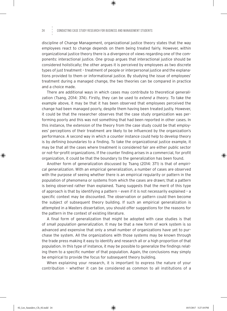#### 24 CONDUCTING CASE STUDY RESEARCH FOR BUSINESS AND MANAGEMENT STUDENTS

discipline of Change Management, organizational justice theory states that the way employees react to change depends on them being treated fairly. However, within organizational justice theory there is a divergence of views regarding one of the components: interactional justice. One group argues that interactional justice should be considered holistically; the other argues it is perceived by employees as two discrete types of just treatment – treatment of people or interpersonal justice and the explanations provided to them or informational justice. By studying the issue of employees' treatment during a managed change, the two theories can be compared in practice and a choice made.

There are additional ways in which cases may contribute to theoretical generalization (Tsang, 2014: 374). Firstly, they can be used to *extend a theory*. To take the example above, it may be that it has been observed that employees perceived the change had been managed poorly, despite them having been treated justly. However, it could be that the researcher observes that the case study organization was performing poorly and this was not something that had been reported in other cases. In this instance, the extension of the theory from the case study could be that employees' perceptions of their treatment are likely to be influenced by the organization's performance. A second way in which a counter instance could help to develop theory is by *defining boundaries* to a finding. To take the organizational justice example, it may be that all the cases where treatment is considered fair are either public sector or not-for-profit organizations. If the counter finding arises in a commercial, for profit organization, it could be that the boundary to the generalization has been found.

Another form of generalization discussed by Tsang (2014: 371) is that of *empirical generalization*. With an empirical generalization, a number of cases are observed with the purpose of seeing whether there is an empirical regularity or pattern in the population of phenomena or systems from which the cases are drawn; that a pattern is being observed rather than explained. Tsang suggests that the merit of this type of approach is that by identifying a pattern – even if it is not necessarily explained – a specific context may be discounted. The observation or pattern could then become the subject of subsequent theory building. If such an empirical generalization is attempted in a Masters dissertation, you should offer suggestions for the reasons for the pattern in the context of existing literature.

A final form of generalization that might be adopted with case studies is that of *small population generalization*. It may be that a new form of work system is so advanced and expensive that only a small number of organizations have yet to purchase the system. All the organizations with those systems may be known through the trade press making it easy to identify and research all or a high proportion of that population. In this type of instance, it may be possible to generalize the findings relating them to a specific number of that population. Again, the conclusions may simply be empirical to provide the focus for subsequent theory building.

When explaining your research, it is important to express the nature of your contribution – whether it can be considered as common to all institutions of a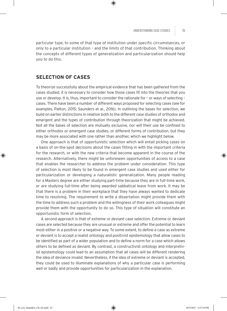particular type, to some of that type of institution under specific circumstances, or only to a particular institution – and the limits of that contribution. Thinking about the concepts of different types of generalization and particularization should help you to do this.

#### **SELECTION OF CASES**

To theorize successfully about the empirical evidence that has been gathered from the cases studied, it is necessary to consider how those cases fit into the theories that you use or develop. It is, thus, important to consider the rationale for – or ways of selecting – cases. There have been a number of different ways proposed for selecting cases (see for examples, Patton, 2015; Saunders et al., 2016). In outlining the bases for selection, we build on earlier distinctions in relation both to the different case studies of orthodox and emergent and the types of contribution through theorization that might be achieved. Not all the bases of selection are mutually exclusive, nor will their use be confined to either orthodox or emergent case studies, or different forms of contribution, but they may be more associated with one rather than another, which we highlight below.

One approach is that of *opportunistic selection* which will entail picking cases on a basis of on-the-spot decisions about the cases fitting in with the important criteria for the research, or with the new criteria that become apparent in the course of the research. Alternatively, there might be unforeseen opportunities of access to a case that enables the researcher to address the problem under consideration. This type of selection is most likely to be found in emergent case studies and used either for particularization or developing a naturalistic generalization. Many people reading for a Masters degree are either studying part-time because they are in full-time work, or are studying full-time after being awarded sabbatical leave from work. It may be that there is a problem in their workplace that they have always wanted to dedicate time to resolving. The requirement to write a dissertation might provide them with the time to address such a problem and the willingness of their work colleagues might provide them with the opportunity to do so. This type of situation will constitute an opportunistic form of selection.

A second approach is that of *extreme* or *deviant case selection*. Extreme or deviant cases are selected because they are unusual or extreme and offer the potential to learn most either in a positive or a negative way. To some extent, to define a case as extreme or deviant is to accept a realist ontology and positivist epistemology that allow cases to be identified as part of a wider population and to define a norm for a case which allows others to be defined as deviant. By contrast, a constructivist ontology and interpretivist epistemology could lead to an assumption that all cases will be different rendering the idea of deviance invalid. Nevertheless, if the idea of extreme or deviant is accepted, they could be used to illuminate explanations of why a particular case is performing well or badly and provide opportunities for particularization in the explanation.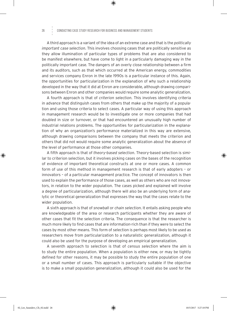A third approach is a variant of the idea of an extreme case and that is the *politically important case selection*. This involves choosing cases that are politically sensitive as they allow illumination of particular types of problems that are also considered to be manifest elsewhere, but have come to light in a particularly damaging way in the politically important case. The dangers of an overly close relationship between a firm and its auditors, such as that which occurred at the American energy, commodities and services company Enron in the late 1990s is a particular instance of this. Again, the opportunities for particularization in the explanation of why such a relationship developed in the way that it did at Enron are considerable, although drawing comparisons between Enron and other companies would require some analytic generalization.

A fourth approach is that of *criterion selection*. This involves identifying criteria in advance that distinguish cases from others that make up the majority of a population and using those criteria to select cases. A particular way of using this approach in management research would be to investigate one or more companies that had doubled in size or turnover, or that had encountered an unusually high number of industrial relations problems. The opportunities for particularization in the explanation of why an organization's performance materialized in this way are extensive, although drawing comparisons between the company that meets the criterion and others that did not would require some analytic generalization about the absence of the level of performance at those other companies.

A fifth approach is that of *theory-based selection*. Theory-based selection is similar to criterion selection, but it involves picking cases on the bases of the recognition of evidence of important theoretical constructs at one or more cases. A common form of use of this method in management research is that of early adopters – or innovators – of a particular management practice. The concept of innovators is then used to explain the performance of those cases, as well as others who are not innovators, in relation to the wider population. The cases picked and explained will involve a degree of particularization, although there will also be an underlying form of analytic or theoretical generalization that expresses the way that the cases relate to the wider population.

A sixth approach is that of *snowball* or *chain selection*. It entails asking people who are knowledgeable of the area or research participants whether they are aware of other cases that fit the selection criteria. The consequence is that the researcher is much more likely to find cases that are information-rich than if they were to select the cases by most other means. This form of selection is perhaps most likely to be used as researchers move from particularization to a naturalistic generalization, although it could also be used for the purpose of developing an empirical generalization.

A seventh approach to selection is that of *census selection* where the aim is to study the entire population. When a population is either new, or may be tightly defined for other reasons, it may be possible to study the entire population of one or a small number of cases. This approach is particularly suitable if the objective is to make a small population generalization, although it could also be used for the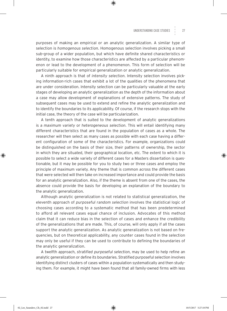purposes of making an empirical or an analytic generalization. A similar type of selection is *homogenous selection*. Homogenous selection involves picking a small sub-group of a wider population, but which have definite shared characteristics or identity, to examine how those characteristics are affected by a particular phenomenon or lead to the development of a phenomenon. This form of selection will be particularly suitable for empirical generalization or analytic generalization.

A ninth approach is that of *intensity selection*. Intensity selection involves picking information-rich cases that exhibit a lot of the qualities of the phenomena that are under consideration. Intensity selection can be particularly valuable at the early stages of developing an analytic generalization as the depth of the information about a case may allow development of explanations of extensive patterns. The study of subsequent cases may be used to extend and refine the analytic generalization and to identify the boundaries to its applicability. Of course, if the research stops with the initial case, the theory of the case will be particularization.

A tenth approach that is suited to the development of analytic generalizations is a *maximum variety* or *heterogeneous selection*. This will entail identifying many different characteristics that are found in the population of cases as a whole. The researcher will then select as many cases as possible with each case having a different configuration of some of the characteristics. For example, organizations could be distinguished on the basis of their size, their patterns of ownership, the sector in which they are situated, their geographical location, etc. The extent to which it is possible to select a wide variety of different cases for a Masters dissertation is questionable, but it may be possible for you to study two or three cases and employ the principle of maximum variety. Any theme that is common across the different cases that were selected will then take on increased importance and could provide the basis for an analytic generalization. Also, if the theme is absent from one of the cases, the absence could provide the basis for developing an explanation of the boundary to the analytic generalization.

Although analytic generalization is not related to statistical generalization, the eleventh approach of *purposeful random selection* involves the statistical logic of choosing cases according to a systematic method that has been predetermined to afford all relevant cases equal chance of inclusion. Advocates of this method claim that it can reduce bias in the selection of cases and enhance the credibility of the generalizations that are made. This, of course, will only apply if all the cases support the analytic generalization. As analytic generalization is not based on frequencies, but on theoretical applicability, any counter cases found in the selection may only be useful if they can be used to contribute to defining the boundaries of the analytic generalization.

A twelfth approach, *stratified purposeful selection*, may be used to help refine an analytic generalization or define its boundaries. Stratified purposeful selection involves identifying distinct clusters of cases within a population systematically and then studying them. For example, it might have been found that all family-owned firms with less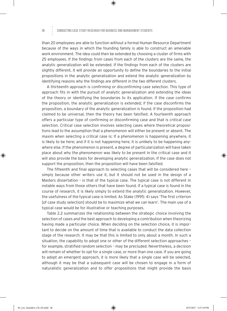#### 28 CONDUCTING CASE STUDY RESEARCH FOR BUSINESS AND MANAGEMENT STUDENTS

than 20 employees are able to function without a formal Human Resource Department because of the ways in which the founding family is able to construct an amenable work environment. The idea could then be extended by choosing a cluster of firms with 25 employees. If the findings from cases from each of the clusters are the same, the analytic generalization will be extended. If the findings from each of the clusters are slightly different, it will provide an opportunity to define the boundaries to the initial propositions in the analytic generalization and extend the analytic generalization by identifying reasons why the findings are different in the two different clusters.

A thirteenth approach is *confirming or disconfirming case selection*. This type of approach fits in with the pursuit of analytic generalization and extending the ideas of the theory or identifying the boundaries to its application. If the case confirms the proposition, the analytic generalization is extended; if the case disconfirms the proposition, a boundary of the analytic generalization is found. If the proposition had claimed to be universal, then the theory has been falsified. A fourteenth approach offers a particular type of confirming or disconfirming case and that is *critical case selection*. Critical case selection involves selecting cases where theoretical propositions lead to the assumption that a phenomenon will either be present or absent. The maxim when selecting a critical case is: If a phenomenon is happening anywhere, it is likely to be here; and if it is not happening here, it is unlikely to be happening anywhere else. If the phenomenon is present, a degree of particularization will have taken place about why the phenomenon was likely to be present in the critical case and it will also provide the basis for developing analytic generalization. If the case does not support the proposition, then the proposition will have been falsified.

The fifteenth and final approach to selecting cases that will be considered here – simply because other writers use it, but it should not be used in the design of a Masters dissertation – is that of the typical case. The typical case is not different in notable ways from those others that have been found. If a typical case is found in the course of research, it is likely simply to extend the analytic generalization. However, the usefulness of the typical case is limited. As Stake (1995: 4) says 'The first criterion [of case study selection] should be to maximize what we can learn'. The main use of a typical case would be for illustrative or teaching purposes.

Table 2.2 summarizes the relationship between the strategic choice involving the selection of cases and the best approach to developing a contribution when theorizing having made a particular choice. When deciding on the selection choice, it is important to decide on the amount of time that is available to conduct the data collection stage of the research. It may be that this is limited to only about a month. In such a situation, the capability to adopt one or other of the different selection approaches – for example, stratified random selection – may be precluded. Nevertheless, a decision will remain of whether to opt for a single case, or more than one case. If you are going to adopt an emergent approach, it is more likely that a single case will be selected, although it may be that a subsequent case will be chosen to engage in a form of naturalistic generalization and to offer propositions that might provide the basis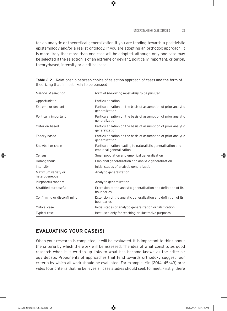for an analytic or theoretical generalization if you are tending towards a positivistic epistemology and/or a realist ontology. If you are adopting an orthodox approach, it is more likely that more than one case will be adopted, although only one case may be selected if the selection is of an extreme or deviant, politically important, criterion, theory-based, intensity or a critical case.

| Method of selection                 | Form of theorizing most likely to be pursued                                             |  |
|-------------------------------------|------------------------------------------------------------------------------------------|--|
| Opportunistic                       | Particularization                                                                        |  |
| Extreme or deviant                  | Particularization on the basis of assumption of prior analytic<br>generalization         |  |
| Politically important               | Particularization on the basis of assumption of prior analytic<br>generalization         |  |
| Criterion-based                     | Particularization on the basis of assumption of prior analytic<br>generalization         |  |
| Theory-based                        | Particularization on the basis of assumption of prior analytic<br>generalization         |  |
| Snowball or chain                   | Particularization leading to naturalistic generalization and<br>empirical generalization |  |
| Census                              | Small population and empirical generalization                                            |  |
| Homogenous                          | Empirical generalization and analytic generalization                                     |  |
| Intensity                           | Initial stages of analytic generalization                                                |  |
| Maximum variety or<br>heterogeneous | Analytic generalization                                                                  |  |
| Purposeful random                   | Analytic generalization                                                                  |  |
| Stratified purposeful               | Extension of the analytic generalization and definition of its<br>boundaries             |  |
| Confirming or disconfirming         | Extension of the analytic generalization and definition of its<br>boundaries             |  |
| Critical case                       | Initial stages of analytic generalization or falsification                               |  |
| <b>Typical case</b>                 | Best used only for teaching or illustrative purposes                                     |  |

**Table 2.2** Relationship between choice of selection approach of cases and the form of theorizing that is most likely to be pursued

#### **EVALUATING YOUR CASE(S)**

When your research is completed, it will be evaluated. It is important to think about the criteria by which the work will be assessed. The idea of what constitutes good research when it is written up links to what has become known as the criteriology debate. Proponents of approaches that tend towards orthodoxy suggest four criteria by which all work should be evaluated. For example, Yin (2014: 45–49) provides four criteria that he believes all case studies should seek to meet. Firstly, there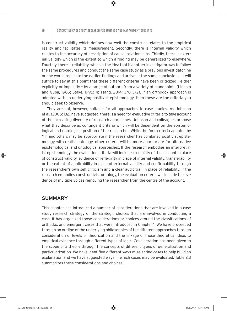#### 30 Conducting Case Study Research for Business and Management Students

is construct validity which defines how well the construct relates to the empirical reality and facilitates its measurement. Secondly, there is internal validity which relates to the accuracy of description of causal relationships. Thirdly, there is external validity which is the extent to which a finding may be generalized to elsewhere. Fourthly, there is reliability, which is the idea that if another investigator was to follow the same procedures and conduct the same case study as a previous investigator, he or she would replicate the earlier findings and arrive at the same conclusions. It will suffice to say at this point that these different criteria have been criticized – either explicitly or implicitly – by a range of authors from a variety of standpoints (Lincoln and Guba, 1985; Stake, 1995: 4; Tsang, 2014: 370–372). If an orthodox approach is adopted with an underlying positivist epistemology, then these are the criteria you should seek to observe.

They are not, however, suitable for all approaches to case studies. As Johnson et al. (2006: 132) have suggested, there is a need for evaluative criteria to take account of the increasing diversity of research approaches. Johnson and colleagues propose what they describe as contingent criteria which will be dependent on the epistemological and ontological position of the researcher. While the four criteria adopted by Yin and others may be appropriate if the researcher has combined positivist epistemology with realist ontology, other criteria will be more appropriate for alternative epistemological and ontological approaches. If the research embodies an interpretivist epistemology, the evaluation criteria will include credibility of the account in place of construct validity, evidence of reflexivity in place of internal validity, transferability or the extent of applicability in place of external validity and confirmability through the researcher's own self-criticism and a clear audit trail in place of reliability. If the research embodies constructivist ontology, the evaluation criteria will include the evidence of multiple voices removing the researcher from the centre of the account.

#### **SUMMARY**

This chapter has introduced a number of considerations that are involved in a case study research strategy or the strategic choices that are involved in conducting a case. It has organized those considerations or choices around the classifications of orthodox and emergent cases that were introduced in Chapter 1. We have proceeded through an outline of the underlying philosophies of the different approaches through consideration of levels of theorization and the linkage of those theoretical ideas to empirical evidence through different types of logic. Consideration has been given to the scope of a theory through the concepts of different types of generalization and particularization. We have identified different ways of selecting cases to help build an explanation and we have suggested ways in which cases may be evaluated. Table 2.3 summarizes these considerations and choices.